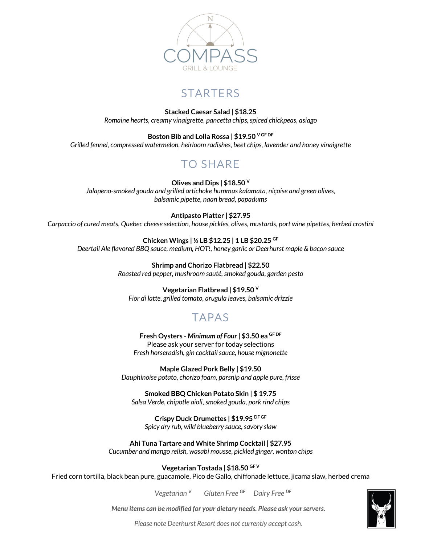

## **STARTERS**

**Stacked Caesar Salad | \$18.25** *Romaine hearts, creamy vinaigrette, pancetta chips, spiced chickpeas, asiago*

**Boston Bib and Lolla Rossa | \$19.50 V GF DF** *Grilled fennel, compressed watermelon, heirloom radishes, beet chips, lavender and honey vinaigrette*

# TO SHARE

**Olives and Dips | \$18.50 <sup>V</sup>** *Jalapeno-smoked gouda and grilled artichoke hummus kalamata, niçoise and green olives, balsamic pipette, naan bread, papadums*

#### **Antipasto Platter | \$27.95**

*Carpaccio of cured meats, Quebec cheese selection, house pickles, olives, mustards, port wine pipettes, herbed crostini*

**Chicken Wings | ½ LB \$12.25 | 1 LB \$20.25 GF** *Deertail Ale flavored BBQ sauce, medium, HOT!, honey garlic or Deerhurst maple & bacon sauce*

> **Shrimp and Chorizo Flatbread | \$22.50** *Roasted red pepper, mushroom sauté, smoked gouda, garden pesto*

**Vegetarian Flatbread | \$19.50 <sup>V</sup>** *Fior di latte, grilled tomato, arugula leaves, balsamic drizzle*

### TAPAS

**Fresh Oysters -** *Minimum of Four* **| \$3.50 ea GF DF** Please ask your server for today selections *Fresh horseradish, gin cocktail sauce, house mignonette*

**Maple Glazed Pork Belly | \$19.50** *Dauphinoise potato, chorizo foam, parsnip and apple pure, frisse*

**Smoked BBQ Chicken Potato Skin | \$ 19.75** *Salsa Verde, chipotle aioli, smoked gouda, pork rind chips*

**Crispy Duck Drumettes | \$19.95 DF GF** *Spicy dry rub, wild blueberry sauce, savory slaw*

**Ahi Tuna Tartare and White Shrimp Cocktail | \$27.95** *Cucumber and mango relish, wasabi mousse, pickled ginger, wonton chips*

**Vegetarian Tostada | \$18.50 GF V**

Fried corn tortilla, black bean pure, guacamole, Pico de Gallo, chiffonade lettuce, jicama slaw, herbed crema

*Vegetarian <sup>V</sup>Gluten Free GF Dairy Free DF*

*Menu items can be modified for your dietary needs. Please ask your servers.*



*Please note Deerhurst Resort does not currently accept cash.*